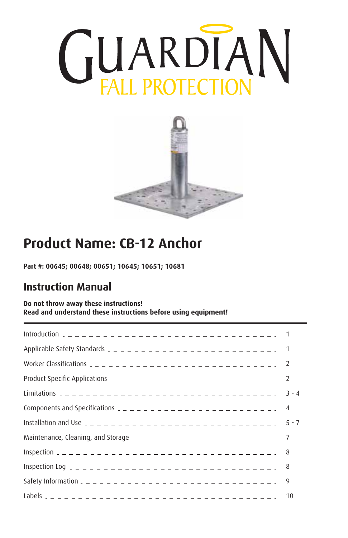



# **Product Name: CB-12 Anchor**

**Part #: 00645; 00648; 00651; 10645; 10651; 10681**

# **Instruction Manual**

#### **Do not throw away these instructions! Read and understand these instructions before using equipment!**

|                                                                            | $3 - 4$ |
|----------------------------------------------------------------------------|---------|
|                                                                            |         |
|                                                                            | $5 - 7$ |
| Maintenance, Cleaning, and Storage $2 - 2 - 2 - 2 - 2 - 2 - 2 - 2 - 2 - 7$ |         |
|                                                                            |         |
|                                                                            |         |
|                                                                            | 9       |
|                                                                            | 10      |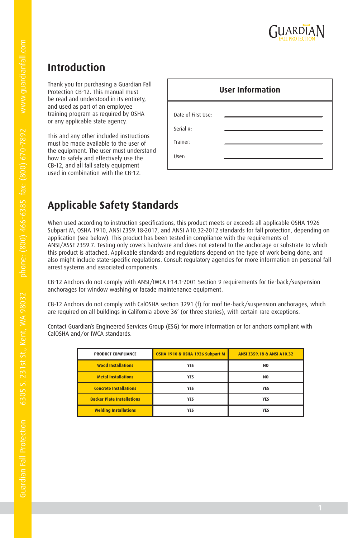

### **Introduction**

Thank you for purchasing a Guardian Fall Protection CB-12. This manual must be read and understood in its entirety, and used as part of an employee training program as required by OSHA or any applicable state agency.

This and any other included instructions must be made available to the user of the equipment. The user must understand how to safely and effectively use the CB-12, and all fall safety equipment used in combination with the CB-12.

| <b>User Information</b>                              |  |  |  |  |  |  |  |  |
|------------------------------------------------------|--|--|--|--|--|--|--|--|
| Date of First Use:<br>Serial #:<br>Trainer:<br>User: |  |  |  |  |  |  |  |  |

# **Applicable Safety Standards**

When used according to instruction specifications, this product meets or exceeds all applicable OSHA 1926 Subpart M, OSHA 1910, ANSI Z359.18-2017, and ANSI A10.32-2012 standards for fall protection, depending on application (see below). This product has been tested in compliance with the requirements of ANSI/ASSE Z359.7. Testing only covers hardware and does not extend to the anchorage or substrate to which this product is attached. Applicable standards and regulations depend on the type of work being done, and also might include state-specific regulations. Consult regulatory agencies for more information on personal fall arrest systems and associated components.

CB-12 Anchors do not comply with ANSI/IWCA I-14.1-2001 Section 9 requirements for tie-back/suspension anchorages for window washing or facade maintenance equipment.

CB-12 Anchors do not comply with CalOSHA section 3291 (f) for roof tie-back/suspension anchorages, which are required on all buildings in California above 36' (or three stories), with certain rare exceptions.

Contact Guardian's Engineered Services Group (ESG) for more information or for anchors compliant with CalOSHA and/or IWCA standards.

| PRODUCT COMPLIANCE                | OSHA 1910 & OSHA 1926 Subpart M | ANSI Z359.18 & ANSI A10.32 |
|-----------------------------------|---------------------------------|----------------------------|
| <b>Wood Installations</b>         | <b>YES</b>                      | N <sub>0</sub>             |
| <b>Metal Installations</b>        | <b>YES</b>                      | N <sub>0</sub>             |
| <b>Concrete Installations</b>     | <b>YES</b>                      | <b>YES</b>                 |
| <b>Backer Plate Installations</b> | <b>YES</b>                      | <b>YES</b>                 |
| <b>Welding Installations</b>      | YES                             | <b>YES</b>                 |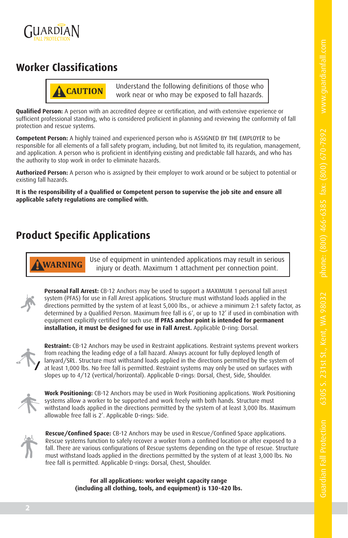

### **Worker Classifications**



**! CAUTION** Understand the following definitions of those who work near or who may be exposed to fall hazards.

**Qualified Person:** A person with an accredited degree or certification, and with extensive experience or sufficient professional standing, who is considered proficient in planning and reviewing the conformity of fall protection and rescue systems.

**Competent Person:** A highly trained and experienced person who is ASSIGNED BY THE EMPLOYER to be responsible for all elements of a fall safety program, including, but not limited to, its regulation, management, and application. A person who is proficient in identifying existing and predictable fall hazards, and who has the authority to stop work in order to eliminate hazards.

**Authorized Person:** A person who is assigned by their employer to work around or be subject to potential or existing fall hazards.

**It is the responsibility of a Qualified or Competent person to supervise the job site and ensure all applicable safety regulations are complied with.**

### **Product Specific Applications**

**! WARNING** Use of equipment in unintended applications may result in serious injury or death. Maximum 1 attachment per connection point.



**Personal Fall Arrest:** CB-12 Anchors may be used to support a MAXIMUM 1 personal fall arrest system (PFAS) for use in Fall Arrest applications. Structure must withstand loads applied in the directions permitted by the system of at least 5,000 lbs., or achieve a minimum 2:1 safety factor, as determined by a Qualified Person. Maximum free fall is 6', or up to 12' if used in combination with equipment explicitly certified for such use. **If PFAS anchor point is intended for permanent installation, it must be designed for use in Fall Arrest.** Applicable D-ring: Dorsal.



**Restraint:** CB-12 Anchors may be used in Restraint applications. Restraint systems prevent workers from reaching the leading edge of a fall hazard. Always account for fully deployed length of lanyard/SRL. Structure must withstand loads applied in the directions permitted by the system of at least 1,000 lbs. No free fall is permitted. Restraint systems may only be used on surfaces with slopes up to 4/12 (vertical/horizontal). Applicable D-rings: Dorsal, Chest, Side, Shoulder.



**Work Positioning:** CB-12 Anchors may be used in Work Positioning applications. Work Positioning systems allow a worker to be supported and work freely with both hands. Structure must withstand loads applied in the directions permitted by the system of at least 3,000 lbs. Maximum allowable free fall is 2'. Applicable D-rings: Side.



**Rescue/Confined Space:** CB-12 Anchors may be used in Rescue/Confined Space applications. Rescue systems function to safely recover a worker from a confined location or after exposed to a fall. There are various configurations of Rescue systems depending on the type of rescue. Structure must withstand loads applied in the directions permitted by the system of at least 3,000 lbs. No free fall is permitted. Applicable D-rings: Dorsal, Chest, Shoulder.

> **For all applications: worker weight capacity range (including all clothing, tools, and equipment) is 130-420 lbs.**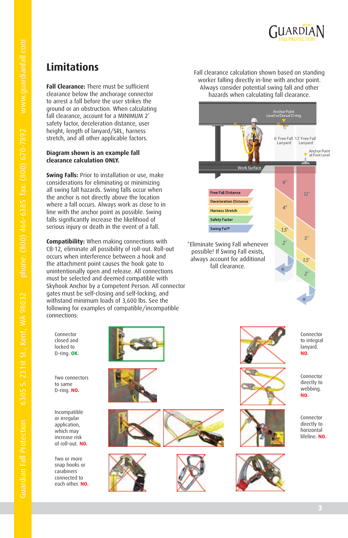

# **Limitations**

**Fall Clearance:** There must be sufficient clearance below the anchorage connector to arrest a fall before the user strikes the ground or an obstruction. When calculating fall clearance, account for a MINIMUM 2' safety factor, deceleration distance, user height, length of lanyard/SRL, harness stretch, and all other applicable factors.

#### **Diagram shown is an example fall clearance calculation ONLY.**

**Swing Falls:** Prior to installation or use, make considerations for eliminating or minimizing all swing fall hazards. Swing falls occur when the anchor is not directly above the location where a fall occurs. Always work as close to in line with the anchor point as possible. Swing falls significantly increase the likelihood of serious injury or death in the event of a fall.

**Compatibility:** When making connections with CB-12, eliminate all possibility of roll-out. Roll-out occurs when interference between a hook and the attachment point causes the hook gate to unintentionally open and release. All connections must be selected and deemed compatible with Skyhook Anchor by a Competent Person. All connector gates must be self-closing and self-locking, and withstand minimum loads of 3,600 lbs. See the following for examples of compatible/incompatible connections:

Connector closed and locked to D-ring. **OK.**

Two connectors to same D-ring. **NO.**

Incompatible or irregular application, which may increase risk of roll-out. **NO.**

Two or more snap hooks or carabiners connected to each other. **NO.**











Fall clearance calculation shown based on standing worker falling directly in-line with anchor point. Always consider potential swing fall and other hazards when calculating fall clearance.

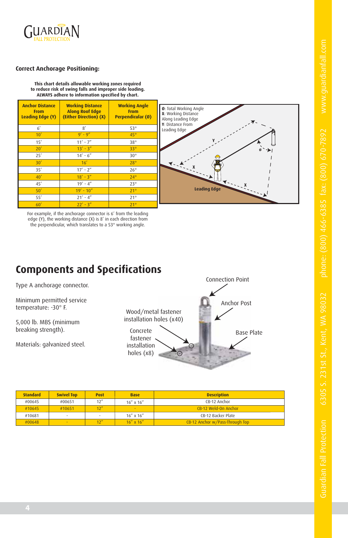

#### **Correct Anchorage Positioning:**

**This chart details allowable working zones required to reduce risk of swing falls and improper side loading. ALWAYS adhere to information specified by chart.**

| <b>Anchor Distance</b><br><b>From</b><br><b>Leading Edge (Y)</b> | <b>Working Distance</b><br><b>Along Roof Edge</b><br>(Either Direction) (X) | <b>Working Angle</b><br><b>From</b><br>Perpendicular (Ø) |
|------------------------------------------------------------------|-----------------------------------------------------------------------------|----------------------------------------------------------|
| 6'                                                               | 8'                                                                          | $53^\circ$                                               |
| 10'                                                              | $9' - 9''$                                                                  | $45^\circ$                                               |
| 15'                                                              | $11' - 7''$                                                                 | $38^\circ$                                               |
| 20'                                                              | $13' - 3''$                                                                 | $33^\circ$                                               |
| 25'                                                              | $14' - 6''$                                                                 | $30^\circ$                                               |
| 30'                                                              | 16'                                                                         | $28^\circ$                                               |
| 35'                                                              | $17' - 2''$                                                                 | $26^{\circ}$                                             |
| 40'                                                              | $18' - 3''$                                                                 | $24^\circ$                                               |
| 45'                                                              | $19' - 4''$                                                                 | $23^\circ$                                               |
| 50'                                                              | $19' - 10''$                                                                | $21^\circ$                                               |
| 55'                                                              | $21' - 4''$                                                                 | $21^{\circ}$                                             |
| 60'                                                              | $22' - 3''$                                                                 | $21^\circ$                                               |

For example, if the anchorage connector is 6' from the leading edge (Y), the working distance (X) is 8' in each direction from the perpendicular, which translates to a 53° working angle.

### **Components and Specifications**

Type A anchorage connector.

Minimum permitted service temperature: -30° F.

5,000 lb. MBS (minimum breaking strength).

Materials: galvanized steel.

Wood/metal fastener installation holes (x40)



Connection Point

Anchor Post

| <b>Standard</b> | <b>Swivel Top</b>        | <b>Post</b> | <b>Base</b>     | <b>Description</b>              |
|-----------------|--------------------------|-------------|-----------------|---------------------------------|
| #00645          | #00651                   | 12''        | $16''$ x $16''$ | CB-12 Anchor                    |
| #10645          | #10651                   |             | $\sim$          | CB-12 Weld-On Anchor            |
| #10681          | $\overline{\phantom{a}}$ | $\sim$      | $16''$ x $16''$ | CB-12 Backer Plate              |
| #00648          | $\sim$                   |             | $16''$ x $16''$ | CB-12 Anchor w/Pass-Through Top |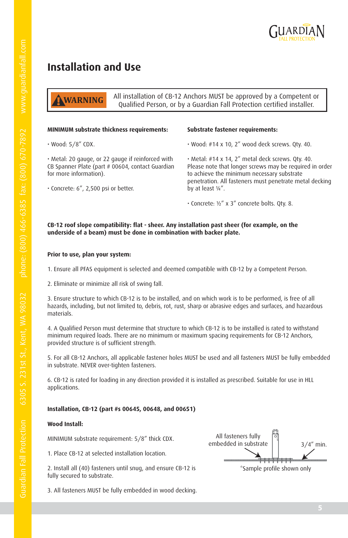

### **Installation and Use**

All installation of CB-12 Anchors MUST be approved by a Competent or Qualified Person, or by a Guardian Fall Protection certified installer. **! WARNING**

#### **MINIMUM substrate thickness requirements:**

• Wood: 5/8" CDX.

• Metal: 20 gauge, or 22 gauge if reinforced with CB Spanner Plate (part # 00604, contact Guardian for more information).

• Concrete: 6", 2,500 psi or better.

#### **Substrate fastener requirements:**

• Wood: #14 x 10, 2" wood deck screws. Qty. 40.

• Metal: #14 x 14, 2" metal deck screws. Qty. 40. Please note that longer screws may be required in order to achieve the minimum necessary substrate penetration. All fasteners must penetrate metal decking by at least ¼".

• Concrete: ½" x 3" concrete bolts. Qty. 8.

#### **CB-12 roof slope compatibility: flat - sheer. Any installation past sheer (for example, on the underside of a beam) must be done in combination with backer plate.**

#### **Prior to use, plan your system:**

1. Ensure all PFAS equipment is selected and deemed compatible with CB-12 by a Competent Person.

2. Eliminate or minimize all risk of swing fall.

3. Ensure structure to which CB-12 is to be installed, and on which work is to be performed, is free of all hazards, including, but not limited to, debris, rot, rust, sharp or abrasive edges and surfaces, and hazardous materials.

4. A Qualified Person must determine that structure to which CB-12 is to be installed is rated to withstand minimum required loads. There are no minimum or maximum spacing requirements for CB-12 Anchors, provided structure is of sufficient strength.

5. For all CB-12 Anchors, all applicable fastener holes MUST be used and all fasteners MUST be fully embedded in substrate. NEVER over-tighten fasteners.

6. CB-12 is rated for loading in any direction provided it is installed as prescribed. Suitable for use in HLL applications.

#### **Installation, CB-12 (part #s 00645, 00648, and 00651)**

#### **Wood Install:**

MINIMUM substrate requirement: 5/8" thick CDX.

1. Place CB-12 at selected installation location.

2. Install all (40) fasteners until snug, and ensure CB-12 is fully secured to substrate.

3. All fasteners MUST be fully embedded in wood decking.

 $3/4''$  min. All fasteners fully embedded in substrate \*Sample profile shown only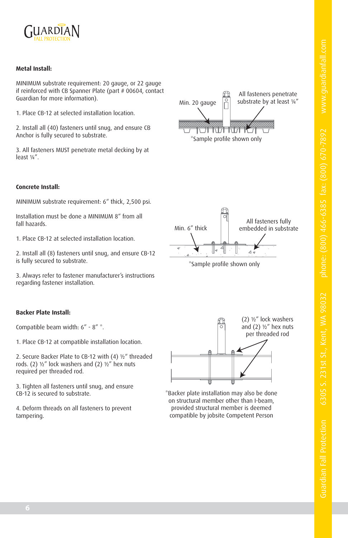

#### **Metal Install:**

MINIMUM substrate requirement: 20 gauge, or 22 gauge if reinforced with CB Spanner Plate (part # 00604, contact Guardian for more information).

1. Place CB-12 at selected installation location.

2. Install all (40) fasteners until snug, and ensure CB Anchor is fully secured to substrate.

3. All fasteners MUST penetrate metal decking by at least ¼".

#### **Concrete Install:**

MINIMUM substrate requirement: 6" thick, 2,500 psi.

Installation must be done a MINIMUM 8" from all fall hazards.

1. Place CB-12 at selected installation location.

2. Install all (8) fasteners until snug, and ensure CB-12 is fully secured to substrate.

3. Always refer to fastener manufacturer's instructions regarding fastener installation.

#### **Backer Plate Install:**

Compatible beam width: 6" - 8" \*.

1. Place CB-12 at compatible installation location.

2. Secure Backer Plate to CB-12 with (4) ½" threaded rods. (2) ½" lock washers and (2) ½" hex nuts required per threaded rod.

3. Tighten all fasteners until snug, and ensure CB-12 is secured to substrate.

4. Deform threads on all fasteners to prevent tampering.



All fasteners penetrate substrate by at least ¼"

Min. 20 gauge



\*Backer plate installation may also be done on structural member other than I-beam, provided structural member is deemed compatible by jobsite Competent Person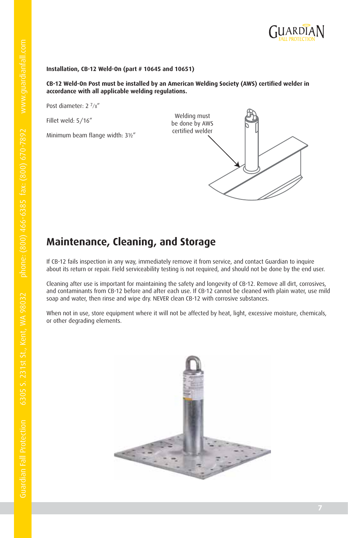

#### **Installation, CB-12 Weld-On (part # 10645 and 10651)**

#### **CB-12 Weld-On Post must be installed by an American Welding Society (AWS) certified welder in accordance with all applicable welding regulations.**

Post diameter: 2 7/8"

Fillet weld: 5/16"

Minimum beam flange width: 3½"



### **Maintenance, Cleaning, and Storage**

If CB-12 fails inspection in any way, immediately remove it from service, and contact Guardian to inquire about its return or repair. Field serviceability testing is not required, and should not be done by the end user.

Cleaning after use is important for maintaining the safety and longevity of CB-12. Remove all dirt, corrosives, and contaminants from CB-12 before and after each use. If CB-12 cannot be cleaned with plain water, use mild soap and water, then rinse and wipe dry. NEVER clean CB-12 with corrosive substances.

When not in use, store equipment where it will not be affected by heat, light, excessive moisture, chemicals, or other degrading elements.

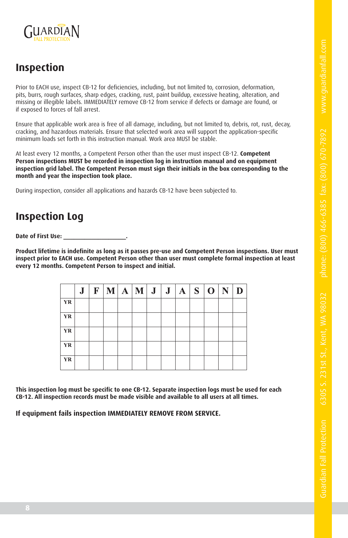

### **Inspection**

Prior to EACH use, inspect CB-12 for deficiencies, including, but not limited to, corrosion, deformation, pits, burrs, rough surfaces, sharp edges, cracking, rust, paint buildup, excessive heating, alteration, and missing or illegible labels. IMMEDIATELY remove CB-12 from service if defects or damage are found, or if exposed to forces of fall arrest.

Ensure that applicable work area is free of all damage, including, but not limited to, debris, rot, rust, decay, cracking, and hazardous materials. Ensure that selected work area will support the application-specific minimum loads set forth in this instruction manual. Work area MUST be stable.

At least every 12 months, a Competent Person other than the user must inspect CB-12. **Competent Person inspections MUST be recorded in inspection log in instruction manual and on equipment inspection grid label. The Competent Person must sign their initials in the box corresponding to the month and year the inspection took place.**

During inspection, consider all applications and hazards CB-12 have been subjected to.

### **Inspection Log**

Date of First Use:

**Product lifetime is indefinite as long as it passes pre-use and Competent Person inspections. User must inspect prior to EACH use. Competent Person other than user must complete formal inspection at least every 12 months. Competent Person to inspect and initial.**

|    | J | F M A M J J A S O N |  |  |  |  | D |
|----|---|---------------------|--|--|--|--|---|
| YR |   |                     |  |  |  |  |   |
| YR |   |                     |  |  |  |  |   |
| YR |   |                     |  |  |  |  |   |
| YR |   |                     |  |  |  |  |   |
| YR |   |                     |  |  |  |  |   |

**This inspection log must be specific to one CB-12. Separate inspection logs must be used for each CB-12. All inspection records must be made visible and available to all users at all times.**

**If equipment fails inspection IMMEDIATELY REMOVE FROM SERVICE.**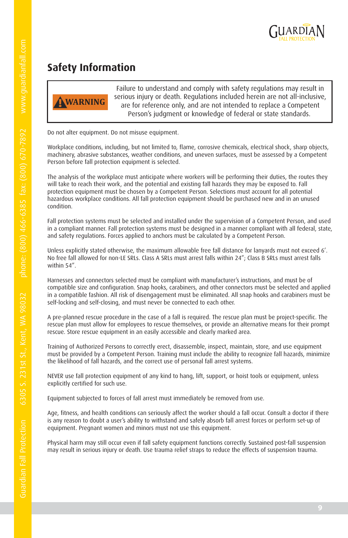

### **Safety Information**



Failure to understand and comply with safety regulations may result in serious injury or death. Regulations included herein are not all-inclusive, are for reference only, and are not intended to replace a Competent Person's judgment or knowledge of federal or state standards.

Do not alter equipment. Do not misuse equipment.

Workplace conditions, including, but not limited to, flame, corrosive chemicals, electrical shock, sharp objects, machinery, abrasive substances, weather conditions, and uneven surfaces, must be assessed by a Competent Person before fall protection equipment is selected.

The analysis of the workplace must anticipate where workers will be performing their duties, the routes they will take to reach their work, and the potential and existing fall hazards they may be exposed to. Fall protection equipment must be chosen by a Competent Person. Selections must account for all potential hazardous workplace conditions. All fall protection equipment should be purchased new and in an unused condition.

Fall protection systems must be selected and installed under the supervision of a Competent Person, and used in a compliant manner. Fall protection systems must be designed in a manner compliant with all federal, state, and safety regulations. Forces applied to anchors must be calculated by a Competent Person.

Unless explicitly stated otherwise, the maximum allowable free fall distance for lanyards must not exceed 6'. No free fall allowed for non-LE SRLs. Class A SRLs must arrest falls within 24"; Class B SRLs must arrest falls within 54"

Harnesses and connectors selected must be compliant with manufacturer's instructions, and must be of compatible size and configuration. Snap hooks, carabiners, and other connectors must be selected and applied in a compatible fashion. All risk of disengagement must be eliminated. All snap hooks and carabiners must be self-locking and self-closing, and must never be connected to each other.

A pre-planned rescue procedure in the case of a fall is required. The rescue plan must be project-specific. The rescue plan must allow for employees to rescue themselves, or provide an alternative means for their prompt rescue. Store rescue equipment in an easily accessible and clearly marked area.

Training of Authorized Persons to correctly erect, disassemble, inspect, maintain, store, and use equipment must be provided by a Competent Person. Training must include the ability to recognize fall hazards, minimize the likelihood of fall hazards, and the correct use of personal fall arrest systems.

NEVER use fall protection equipment of any kind to hang, lift, support, or hoist tools or equipment, unless explicitly certified for such use.

Equipment subjected to forces of fall arrest must immediately be removed from use.

Age, fitness, and health conditions can seriously affect the worker should a fall occur. Consult a doctor if there is any reason to doubt a user's ability to withstand and safely absorb fall arrest forces or perform set-up of equipment. Pregnant women and minors must not use this equipment.

Physical harm may still occur even if fall safety equipment functions correctly. Sustained post-fall suspension may result in serious injury or death. Use trauma relief straps to reduce the effects of suspension trauma.